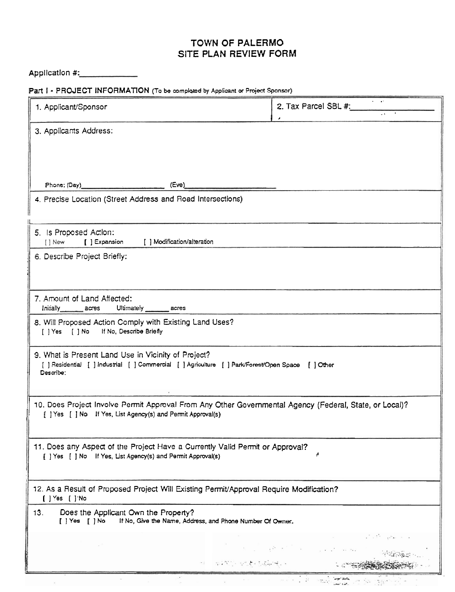## **TOWN OF PALERMO SITE PLAN REVIEW FORM**

Application #:

Part I - PROJECT INFORMATION (To be completed by Applicant **or** Project Sponsor)

| 1. Applicant/Sponsor                                                                                                                                                    | 2. Tax Parcel SBL #:    |  |  |  |  |  |
|-------------------------------------------------------------------------------------------------------------------------------------------------------------------------|-------------------------|--|--|--|--|--|
| 3. Applicants Address:                                                                                                                                                  |                         |  |  |  |  |  |
|                                                                                                                                                                         |                         |  |  |  |  |  |
| Phone: (Day) (Eve)                                                                                                                                                      |                         |  |  |  |  |  |
| 4. Precise Location (Street Address and Road Intersections)                                                                                                             |                         |  |  |  |  |  |
| 5. Is Proposed Action:                                                                                                                                                  |                         |  |  |  |  |  |
| [] New [ ] Expansion [ ] Modification/alteration<br>6. Describe Project Briefly:                                                                                        |                         |  |  |  |  |  |
|                                                                                                                                                                         |                         |  |  |  |  |  |
| 7. Amount of Land Affected:<br>Initially acres Ultimately acres                                                                                                         |                         |  |  |  |  |  |
| 8. Will Proposed Action Comply with Existing Land Uses?<br>[ ] Yes [ ] No If No, Describe Briefly                                                                       |                         |  |  |  |  |  |
| 9. What is Present Land Use in Vicinity of Project?<br>[ ] Residential [ ] Industrial [ ] Commercial [ ] Agriculture [ ] Park/Forest/Open Space [ ] Other<br>Describe:  |                         |  |  |  |  |  |
| 10. Does Project Involve Permit Approval From Any Other Governmental Agency (Federal, State, or Local)?<br>[ ] Yes [ ] No If Yes, List Agency(s) and Permit Approval(s) |                         |  |  |  |  |  |
| 11. Does any Aspect of the Project Have a Currently Valid Permit or Approval?<br>A<br>[ ] Yes [ ] No If Yes, List Agency(s) and Permit Approval(s)                      |                         |  |  |  |  |  |
| 12. As a Result of Proposed Project Will Existing Permit/Approval Require Modification?<br>[ ] Yes [ ] No                                                               |                         |  |  |  |  |  |
| Does the Applicant Own the Property?<br>13.<br>$[$ $]$ $Yes$ $[$ $]$ $No$<br>If No, Give the Name, Address, and Phone Number Of Owner.                                  |                         |  |  |  |  |  |
|                                                                                                                                                                         | and the state and state |  |  |  |  |  |
|                                                                                                                                                                         | 99 年度数字、受信数字及数据(号)。     |  |  |  |  |  |

 $\ddot{\cdot}$ 

 $\mathcal{F}_\mathcal{C}$ 

 $\sim$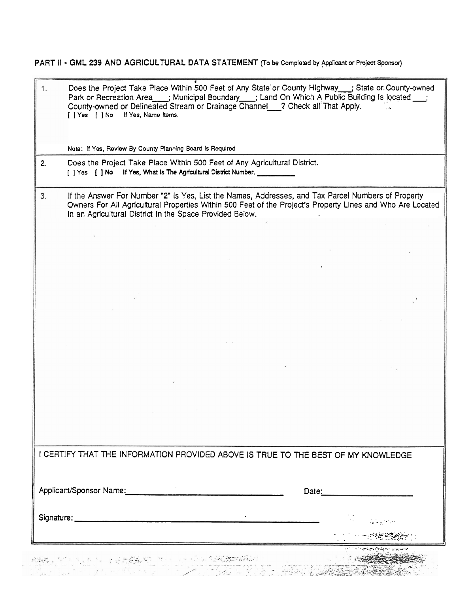PART II - GML 239 AND AGRICULTURAL DATA STATEMENT (To be Completed by Applicant or Project Sponsor)

| 1. | Does the Project Take Place Within 500 Feet of Any State or County Highway __; State or County-owned<br>Park or Recreation Area ___; Municipal Boundary ___; Land On Which A Public Building Is located ___;<br>County-owned or Delineated Stream or Drainage Channel_2 Check all That Apply.<br>If Yes, Name Items.<br>[ ] Yes [ ] No |  |       |  |  |  |
|----|----------------------------------------------------------------------------------------------------------------------------------------------------------------------------------------------------------------------------------------------------------------------------------------------------------------------------------------|--|-------|--|--|--|
|    | Note: If Yes, Review By County Planning Board Is Required                                                                                                                                                                                                                                                                              |  |       |  |  |  |
| 2. | Does the Project Take Place Within 500 Feet of Any Agricultural District.<br>[ ] Yes [ ] No If Yes, What Is The Agricultural District Number.                                                                                                                                                                                          |  |       |  |  |  |
| 3. | If the Answer For Number "2" is Yes, List the Names, Addresses, and Tax Parcel Numbers of Property<br>Owners For All Agricultural Properties Within 500 Feet of the Project's Property Lines and Who Are Located<br>In an Agricultural District In the Space Provided Below.                                                           |  |       |  |  |  |
|    |                                                                                                                                                                                                                                                                                                                                        |  |       |  |  |  |
|    |                                                                                                                                                                                                                                                                                                                                        |  |       |  |  |  |
|    |                                                                                                                                                                                                                                                                                                                                        |  |       |  |  |  |
|    |                                                                                                                                                                                                                                                                                                                                        |  |       |  |  |  |
|    |                                                                                                                                                                                                                                                                                                                                        |  |       |  |  |  |
|    |                                                                                                                                                                                                                                                                                                                                        |  |       |  |  |  |
|    |                                                                                                                                                                                                                                                                                                                                        |  |       |  |  |  |
|    |                                                                                                                                                                                                                                                                                                                                        |  |       |  |  |  |
|    |                                                                                                                                                                                                                                                                                                                                        |  |       |  |  |  |
|    |                                                                                                                                                                                                                                                                                                                                        |  |       |  |  |  |
|    |                                                                                                                                                                                                                                                                                                                                        |  |       |  |  |  |
|    |                                                                                                                                                                                                                                                                                                                                        |  |       |  |  |  |
|    |                                                                                                                                                                                                                                                                                                                                        |  |       |  |  |  |
|    |                                                                                                                                                                                                                                                                                                                                        |  |       |  |  |  |
|    |                                                                                                                                                                                                                                                                                                                                        |  |       |  |  |  |
|    | I CERTIFY THAT THE INFORMATION PROVIDED ABOVE IS TRUE TO THE BEST OF MY KNOWLEDGE                                                                                                                                                                                                                                                      |  |       |  |  |  |
|    |                                                                                                                                                                                                                                                                                                                                        |  |       |  |  |  |
|    | Applicant/Sponsor Name:                                                                                                                                                                                                                                                                                                                |  | Date: |  |  |  |
|    |                                                                                                                                                                                                                                                                                                                                        |  |       |  |  |  |
|    |                                                                                                                                                                                                                                                                                                                                        |  |       |  |  |  |
|    |                                                                                                                                                                                                                                                                                                                                        |  |       |  |  |  |
|    |                                                                                                                                                                                                                                                                                                                                        |  |       |  |  |  |
|    | a di babbayan dan sasa san di banya banya                                                                                                                                                                                                                                                                                              |  |       |  |  |  |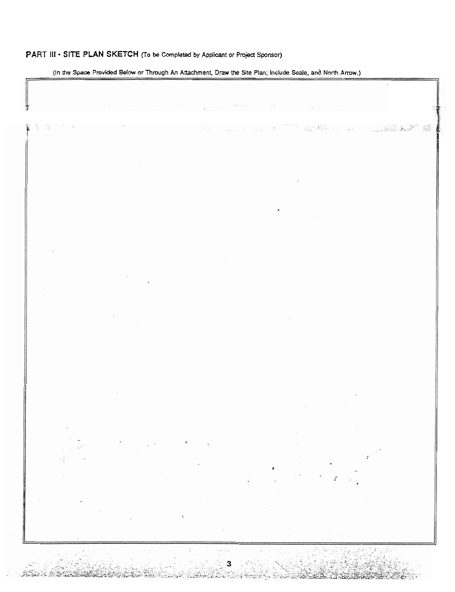## **PART Ill** - **SITE PLAN SKETCH (To be Completed by Applicant or Project Sponsor)**

**(In the Space Provided Below or Through An Attachment. Draw the Site Plan; Include Scale, and** North **Arrow.)** 

 $\mathcal{L}$ era sul я